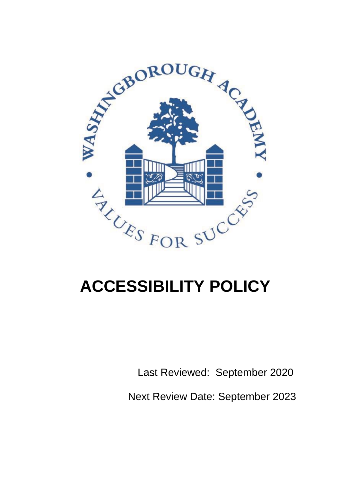

# **ACCESSIBILITY POLICY**

Last Reviewed: September 2020

Next Review Date: September 2023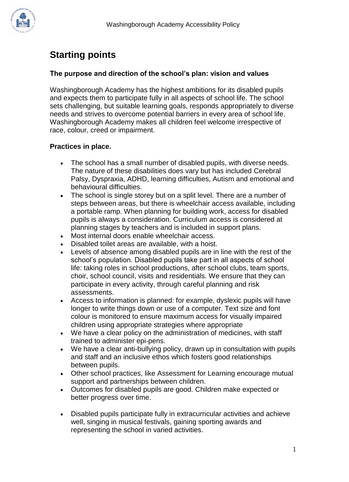

## **Starting points**

#### **The purpose and direction of the school's plan: vision and values**

Washingborough Academy has the highest ambitions for its disabled pupils and expects them to participate fully in all aspects of school life. The school sets challenging, but suitable learning goals, responds appropriately to diverse needs and strives to overcome potential barriers in every area of school life. Washingborough Academy makes all children feel welcome irrespective of race, colour, creed or impairment.

### **Practices in place.**

- The school has a small number of disabled pupils, with diverse needs. The nature of these disabilities does vary but has included Cerebral Palsy, Dyspraxia, ADHD, learning difficulties, Autism and emotional and behavioural difficulties.
- The school is single storey but on a split level. There are a number of steps between areas, but there is wheelchair access available, including a portable ramp. When planning for building work, access for disabled pupils is always a consideration. Curriculum access is considered at planning stages by teachers and is included in support plans.
- Most internal doors enable wheelchair access.
- Disabled toilet areas are available, with a hoist.
- Levels of absence among disabled pupils are in line with the rest of the school's population. Disabled pupils take part in all aspects of school life: taking roles in school productions, after school clubs, team sports, choir, school council, visits and residentials. We ensure that they can participate in every activity, through careful planning and risk assessments.
- Access to information is planned: for example, dyslexic pupils will have longer to write things down or use of a computer. Text size and font colour is monitored to ensure maximum access for visually impaired children using appropriate strategies where appropriate
- We have a clear policy on the administration of medicines, with staff trained to administer epi-pens.
- We have a clear anti-bullying policy, drawn up in consultation with pupils and staff and an inclusive ethos which fosters good relationships between pupils.
- Other school practices, like Assessment for Learning encourage mutual support and partnerships between children.
- Outcomes for disabled pupils are good. Children make expected or better progress over time.
- Disabled pupils participate fully in extracurricular activities and achieve well, singing in musical festivals, gaining sporting awards and representing the school in varied activities.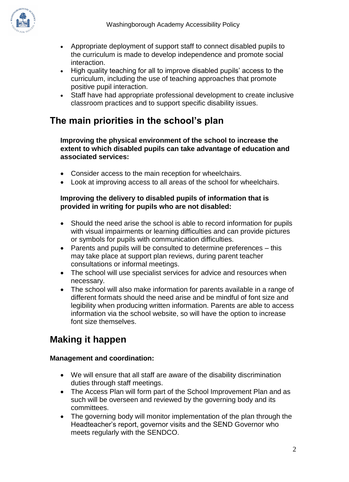

- Appropriate deployment of support staff to connect disabled pupils to the curriculum is made to develop independence and promote social interaction.
- High quality teaching for all to improve disabled pupils' access to the curriculum, including the use of teaching approaches that promote positive pupil interaction.
- Staff have had appropriate professional development to create inclusive classroom practices and to support specific disability issues.

## **The main priorities in the school's plan**

**Improving the physical environment of the school to increase the extent to which disabled pupils can take advantage of education and associated services:**

- Consider access to the main reception for wheelchairs.
- Look at improving access to all areas of the school for wheelchairs.

#### **Improving the delivery to disabled pupils of information that is provided in writing for pupils who are not disabled:**

- Should the need arise the school is able to record information for pupils with visual impairments or learning difficulties and can provide pictures or symbols for pupils with communication difficulties.
- Parents and pupils will be consulted to determine preferences this may take place at support plan reviews, during parent teacher consultations or informal meetings.
- The school will use specialist services for advice and resources when necessary.
- The school will also make information for parents available in a range of different formats should the need arise and be mindful of font size and legibility when producing written information. Parents are able to access information via the school website, so will have the option to increase font size themselves.

## **Making it happen**

### **Management and coordination:**

- We will ensure that all staff are aware of the disability discrimination duties through staff meetings.
- The Access Plan will form part of the School Improvement Plan and as such will be overseen and reviewed by the governing body and its committees.
- The governing body will monitor implementation of the plan through the Headteacher's report, governor visits and the SEND Governor who meets regularly with the SENDCO.